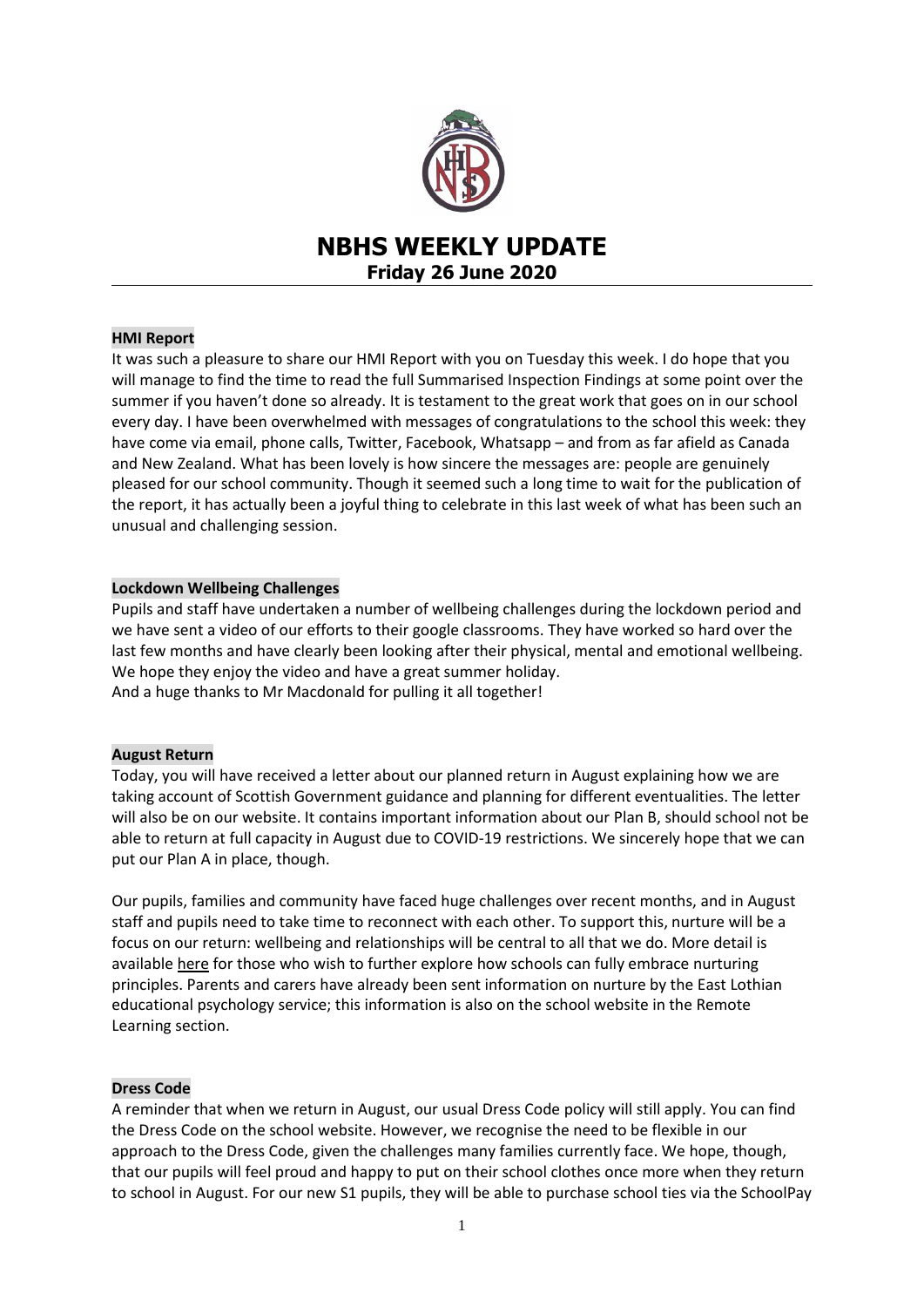

# **NBHS WEEKLY UPDATE Friday 26 June 2020**

# **HMI Report**

It was such a pleasure to share our HMI Report with you on Tuesday this week. I do hope that you will manage to find the time to read the full Summarised Inspection Findings at some point over the summer if you haven't done so already. It is testament to the great work that goes on in our school every day. I have been overwhelmed with messages of congratulations to the school this week: they have come via email, phone calls, Twitter, Facebook, Whatsapp – and from as far afield as Canada and New Zealand. What has been lovely is how sincere the messages are: people are genuinely pleased for our school community. Though it seemed such a long time to wait for the publication of the report, it has actually been a joyful thing to celebrate in this last week of what has been such an unusual and challenging session.

#### **Lockdown Wellbeing Challenges**

Pupils and staff have undertaken a number of wellbeing challenges during the lockdown period and we have sent a video of our efforts to their google classrooms. They have worked so hard over the last few months and have clearly been looking after their physical, mental and emotional wellbeing. We hope they enjoy the video and have a great summer holiday. And a huge thanks to Mr Macdonald for pulling it all together!

# **August Return**

Today, you will have received a letter about our planned return in August explaining how we are taking account of Scottish Government guidance and planning for different eventualities. The letter will also be on our website. It contains important information about our Plan B, should school not be able to return at full capacity in August due to COVID-19 restrictions. We sincerely hope that we can put our Plan A in place, though.

Our pupils, families and community have faced huge challenges over recent months, and in August staff and pupils need to take time to reconnect with each other. To support this, nurture will be a focus on our return: wellbeing and relationships will be central to all that we do. More detail is available [here](https://education.gov.scot/improvement/Documents/inc55ApplyingNurturingApproaches120617.pdf) for those who wish to further explore how schools can fully embrace nurturing principles. Parents and carers have already been sent information on nurture by the East Lothian educational psychology service; this information is also on the school website in the Remote Learning section.

### **Dress Code**

A reminder that when we return in August, our usual Dress Code policy will still apply. You can find the Dress Code on the school website. However, we recognise the need to be flexible in our approach to the Dress Code, given the challenges many families currently face. We hope, though, that our pupils will feel proud and happy to put on their school clothes once more when they return to school in August. For our new S1 pupils, they will be able to purchase school ties via the SchoolPay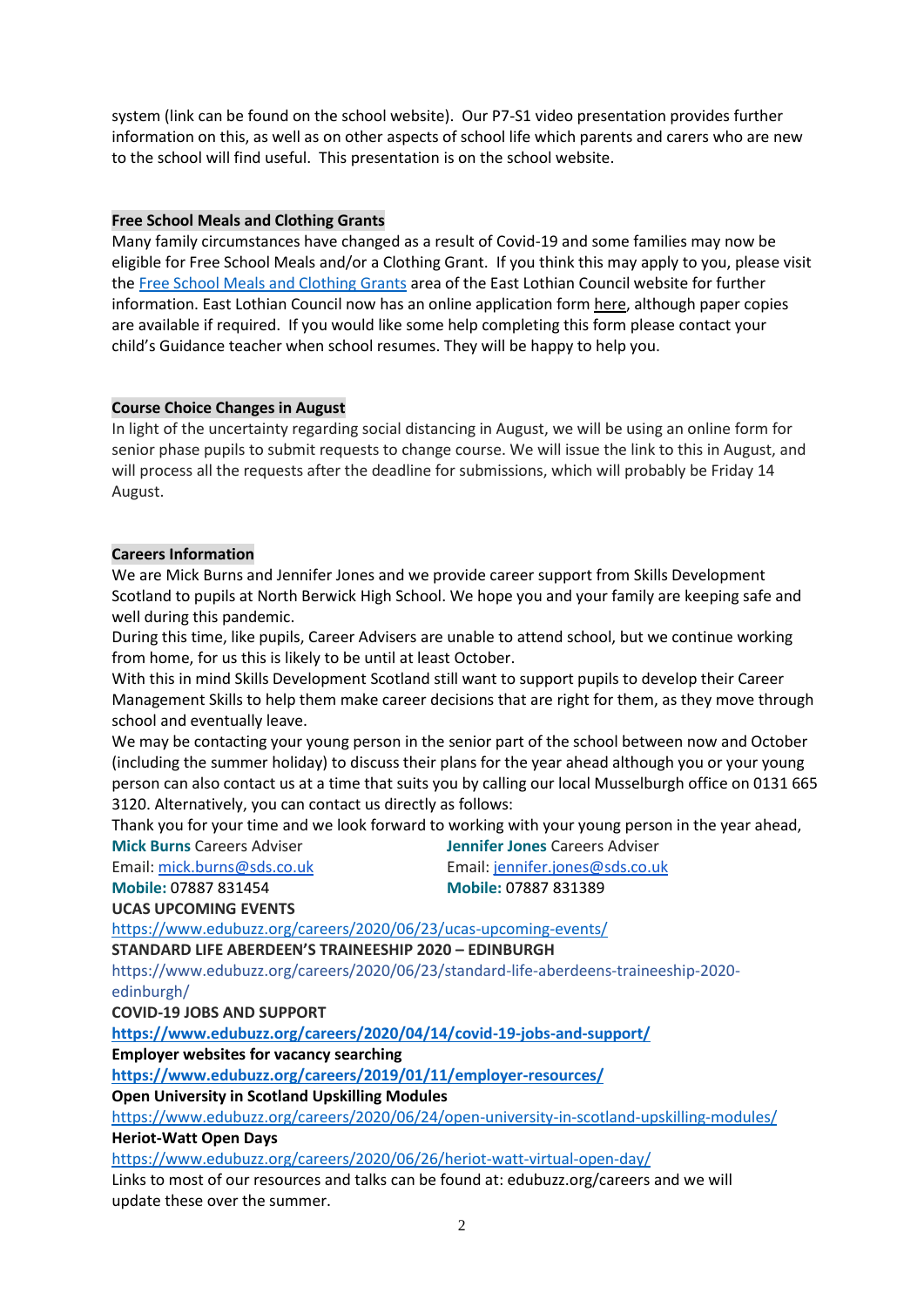system (link can be found on the school website). Our P7-S1 video presentation provides further information on this, as well as on other aspects of school life which parents and carers who are new to the school will find useful. This presentation is on the school website.

# **Free School Meals and Clothing Grants**

Many family circumstances have changed as a result of Covid-19 and some families may now be eligible for Free School Meals and/or a Clothing Grant. If you think this may apply to you, please visit th[e Free School Meals and Clothing Grants](https://www.eastlothian.gov.uk/info/210557/schools_and_learning/11899/free_school_meals_and_clothing_grants/2) area of the East Lothian Council website for further information. East Lothian Council now has an online application form [here,](https://www.eastlothian.gov.uk/fsm) although paper copies are available if required. If you would like some help completing this form please contact your child's Guidance teacher when school resumes. They will be happy to help you.

# **Course Choice Changes in August**

In light of the uncertainty regarding social distancing in August, we will be using an online form for senior phase pupils to submit requests to change course. We will issue the link to this in August, and will process all the requests after the deadline for submissions, which will probably be Friday 14 August.

# **Careers Information**

We are Mick Burns and Jennifer Jones and we provide career support from Skills Development Scotland to pupils at North Berwick High School. We hope you and your family are keeping safe and well during this pandemic.

During this time, like pupils, Career Advisers are unable to attend school, but we continue working from home, for us this is likely to be until at least October.

With this in mind Skills Development Scotland still want to support pupils to develop their Career Management Skills to help them make career decisions that are right for them, as they move through school and eventually leave.

We may be contacting your young person in the senior part of the school between now and October (including the summer holiday) to discuss their plans for the year ahead although you or your young person can also contact us at a time that suits you by calling our local Musselburgh office on 0131 665 3120. Alternatively, you can contact us directly as follows:

Thank you for your time and we look forward to working with your young person in the year ahead,

**Mick Burns** Careers Adviser **Jennifer Jones** Careers Adviser

**Mobile:** 07887 831454 **Mobile:** 07887 831389

Email: [mick.burns@sds.co.uk](https://mail.elcschool.org.uk/owa/redir.aspx?C=fbGa3DGVrsUoQB2CnJP23eXwMGzxu7J1CtarT6dTOwkq_NlpJujXCA..&URL=mailto%3amick.burns%40sds.co.uk) Email: [jennifer.jones@sds.co.uk](https://mail.elcschool.org.uk/owa/redir.aspx?C=w5vDwBuTqLYRePI06kgl3gF2RMQQfGk-psGJ7uniRDcq_NlpJujXCA..&URL=mailto%3ajennifer.jones%40sds.co.uk)

**[UCAS UPCOMING](https://mail.elcschool.org.uk/owa/redir.aspx?C=_Ts1t2_3O3hcrc4s80my1W_dKHqhrz2phO3IewC8nt654mzy6BjYCA..&URL=https%3a%2f%2fwww.edubuzz.org%2fcareers%2f2020%2f06%2f23%2fucas-upcoming-events%2f) EVENTS**

<https://www.edubuzz.org/careers/2020/06/23/ucas-upcoming-events/>

**[STANDARD LIFE ABERDE](https://mail.elcschool.org.uk/owa/redir.aspx?C=VSIFtg2AzB7B39FeM3bejnYbbVL1f6mlp53yS153BES54mzy6BjYCA..&URL=https%3a%2f%2fwww.edubuzz.org%2fcareers%2f2020%2f06%2f23%2fstandard-life-aberdeens-traineeship-2020-edinburgh%2f)EN'S TRAINEESHIP 2020 – EDINBURGH**

https://www.edubuzz.org/careers/2020/06/23/standard-life-aberdeens-traineeship-2020 edinburgh/

**COVID-19 JOBS AND SUPPORT**

**<https://www.edubuzz.org/careers/2020/04/14/covid-19-jobs-and-support/>**

**Employer websites for vacancy searching**

**<https://www.edubuzz.org/careers/2019/01/11/employer-resources/>**

**Open University in Scotland Upskilling Modules**

<https://www.edubuzz.org/careers/2020/06/24/open-university-in-scotland-upskilling-modules/> **Heriot-Watt Open Days**

<https://www.edubuzz.org/careers/2020/06/26/heriot-watt-virtual-open-day/>

Links to most of our resources and talks can be found at: edubuzz.org/careers and we will update these over the summer.